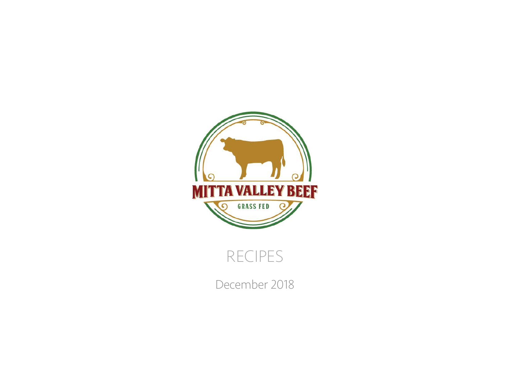

## RECIPES

December 2018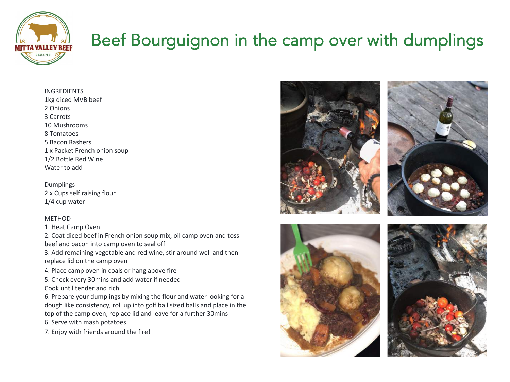

# Beef Bourguignon in the camp over with dumplings

INGREDIENTS 1kg diced MVB beef 2 Onions 3 Carrots 10 Mushrooms 8 Tomatoes 5 Bacon Rashers 1 x Packet French onion soup 1/2 Bottle Red Wine Water to add

Dumplings 2 x Cups self raising flour 1/4 cup water

#### METHOD

1. Heat Camp Oven

2. Coat diced beef in French onion soup mix, oil camp oven and toss beef and bacon into camp oven to seal off

3. Add remaining vegetable and red wine, stir around well and then replace lid on the camp oven

- 4. Place camp oven in coals or hang above fire
- 5. Check every 30mins and add water if needed

Cook until tender and rich

6. Prepare your dumplings by mixing the flour and water looking for a dough like consistency, roll up into golf ball sized balls and place in the top of the camp oven, replace lid and leave for a further 30mins

6. Serve with mash potatoes

7. Enjoy with friends around the fire!







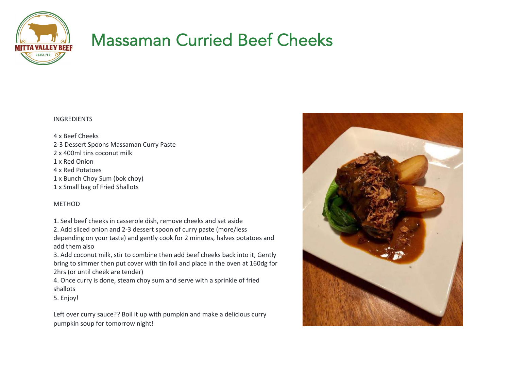

## Massaman Curried Beef Cheeks

#### INGREDIENTS

4 x Beef Cheeks 2-3 Dessert Spoons Massaman Curry Paste 2 x 400ml tins coconut milk 1 x Red Onion 4 x Red Potatoes 1 x Bunch Choy Sum (bok choy) 1 x Small bag of Fried Shallots

#### **METHOD**

1. Seal beef cheeks in casserole dish, remove cheeks and set aside 2. Add sliced onion and 2-3 dessert spoon of curry paste (more/less depending on your taste) and gently cook for 2 minutes, halves potatoes and add them also

3. Add coconut milk, stir to combine then add beef cheeks back into it, Gently bring to simmer then put cover with tin foil and place in the oven at 160dg for 2hrs (or until cheek are tender)

4. Once curry is done, steam choy sum and serve with a sprinkle of fried shallots

5. Enjoy!

Left over curry sauce?? Boil it up with pumpkin and make a delicious curry pumpkin soup for tomorrow night!

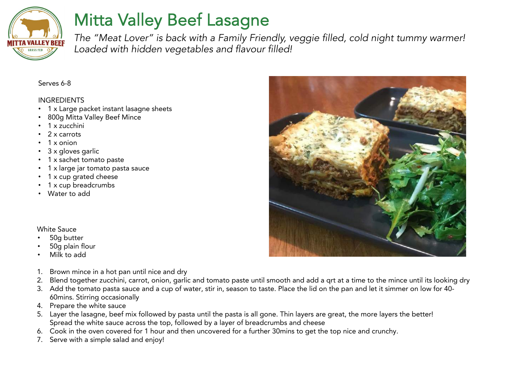

# Mitta Valley Beef Lasagne

*The "Meat Lover" is back with a Family Friendly, veggie filled, cold night tummy warmer! Loaded with hidden vegetables and flavour filled!*

#### Serves 6-8

#### **INGREDIENTS**

- 1 x Large packet instant lasagne sheets
- 800g Mitta Valley Beef Mince
- 1 x zucchini
- 2 x carrots
- 1 x onion
- 3 x gloves garlic
- 1 x sachet tomato paste
- 1 x large jar tomato pasta sauce
- 1 x cup grated cheese
- 1 x cup breadcrumbs
- Water to add

### White Sauce

- 50g butter
- 50g plain flour
- Milk to add
- 1. Brown mince in a hot pan until nice and dry
- 2. Blend together zucchini, carrot, onion, garlic and tomato paste until smooth and add a qrt at a time to the mince until its looking dry
- 3. Add the tomato pasta sauce and a cup of water, stir in, season to taste. Place the lid on the pan and let it simmer on low for 40- 60mins. Stirring occasionally
- 4. Prepare the white sauce
- 5. Layer the lasagne, beef mix followed by pasta until the pasta is all gone. Thin layers are great, the more layers the better! Spread the white sauce across the top, followed by a layer of breadcrumbs and cheese
- 6. Cook in the oven covered for 1 hour and then uncovered for a further 30mins to get the top nice and crunchy.
- 7. Serve with a simple salad and enjoy!